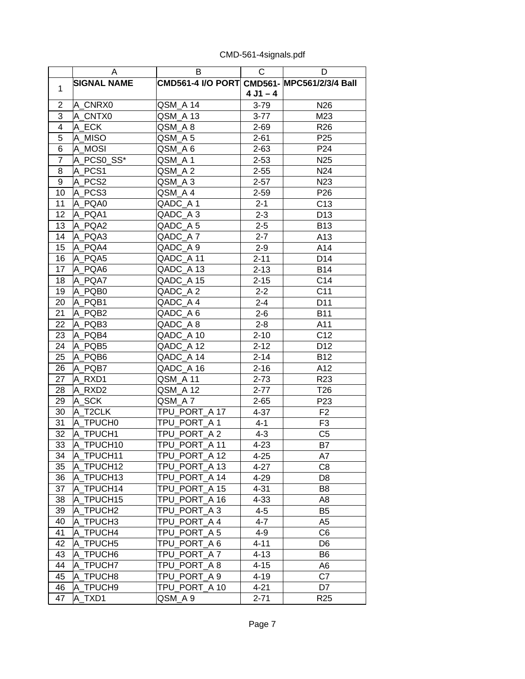|                 | A                  | B                                           | $\mathsf{C}$ | D               |
|-----------------|--------------------|---------------------------------------------|--------------|-----------------|
|                 | <b>SIGNAL NAME</b> | CMD561-4 I/O PORT CMD561- MPC561/2/3/4 Ball |              |                 |
| 1               |                    |                                             | $4 J1 - 4$   |                 |
| $\overline{2}$  | A_CNRX0            | QSM_A 14                                    | $3 - 79$     | N <sub>26</sub> |
| 3               | A CNTX0            | QSM_A 13                                    | $3 - 77$     | M23             |
| $\overline{4}$  | A_ECK              | QSM_A 8                                     | $2 - 69$     | R <sub>26</sub> |
| $\overline{5}$  | A MISO             | QSM_A 5                                     | $2 - 61$     | P <sub>25</sub> |
| $6\overline{6}$ | A MOSI             | QSM_A 6                                     | $2 - 63$     | P24             |
| $\overline{7}$  | A PCS0 SS*         | QSM_A1                                      | $2 - 53$     | N <sub>25</sub> |
| 8               | A PCS1             | QSM A 2                                     | $2 - 55$     | N24             |
| 9               | A PCS2             | QSM A3                                      | $2 - 57$     | N <sub>23</sub> |
| 10              | A PCS3             | QSM_A4                                      | $2 - 59$     | P <sub>26</sub> |
| 11              | A PQA0             | QADC_A1                                     | $2 - 1$      | C13             |
| 12              | A PQA1             | QADC_A3                                     | $2 - 3$      | D <sub>13</sub> |
| 13              | A PQA2             | QADC A5                                     | $2 - 5$      | <b>B13</b>      |
| 14              | A PQA3             | QADC A7                                     | $2 - 7$      | A13             |
| 15              | A PQA4             | QADC A 9                                    | $2 - 9$      | A14             |
| 16              | A PQA5             | QADC A 11                                   | $2 - 11$     | D14             |
| 17              | A_PQA6             | QADC A 13                                   | $2 - 13$     | <b>B14</b>      |
| 18              | A PQA7             | QADC_A 15                                   | $2 - 15$     | C14             |
| 19              | A PQB0             | QADC_A2                                     | $2 - 2$      | C <sub>11</sub> |
| 20              | A PQB1             | QADC_A4                                     | $2 - 4$      | D11             |
| 21              | A PQB2             | QADC_A 6                                    | $2 - 6$      | <b>B11</b>      |
| 22              | A PQB3             | QADC_A8                                     | $2 - 8$      | A11             |
| 23              | A PQB4             | QADC_A 10                                   | $2 - 10$     | C12             |
| 24              | A PQB5             | QADC_A 12                                   | $2 - 12$     | D <sub>12</sub> |
| 25              | A PQB6             | QADC A 14                                   | $2 - 14$     | <b>B12</b>      |
| 26              | A PQB7             | QADC_A 16                                   | $2 - 16$     | A12             |
| 27              | A RXD1             | QSM_A 11                                    | $2 - 73$     | R <sub>23</sub> |
| 28              | A RXD2             | QSM_A 12                                    | $2 - 77$     | T <sub>26</sub> |
| 29              | A SCK              | QSM A7                                      | $2 - 65$     | P <sub>23</sub> |
| 30              | A T2CLK            | TPU PORT A 17                               | $4 - 37$     | F <sub>2</sub>  |
| 31              | A TPUCH0           | TPU PORT A 1                                | $4 - 1$      | F <sub>3</sub>  |
| 32              | A_TPUCH1           | TPU_PORT_A2                                 | $4 - 3$      | C <sub>5</sub>  |
| 33              | A TPUCH10          | TPU PORT_A 11                               | $4 - 23$     | <b>B7</b>       |
| 34              | A_TPUCH11          | TPU_PORT_A 12                               | $4 - 25$     | A7              |
| 35              | A TPUCH12          | TPU_PORT_A 13                               | $4 - 27$     | C <sub>8</sub>  |
| 36              | A_TPUCH13          | TPU PORT A 14                               | $4 - 29$     | D <sub>8</sub>  |
| 37              | A TPUCH14          | TPU PORT A 15                               | $4 - 31$     | B <sub>8</sub>  |
| 38              | A_TPUCH15          | TPU_PORT_A 16                               | $4 - 33$     | A <sub>8</sub>  |
| 39              | A_TPUCH2           | TPU_PORT_A 3                                | $4 - 5$      | B <sub>5</sub>  |
| 40              | A TPUCH3           | TPU PORT A 4                                | $4 - 7$      | A5              |
| 41              | A TPUCH4           | TPU_PORT_A 5                                | $4 - 9$      | C <sub>6</sub>  |
| 42              | A TPUCH5           | TPU PORT_A 6                                | $4 - 11$     | D <sub>6</sub>  |
| 43              | A TPUCH6           | TPU PORT A7                                 | $4 - 13$     | B <sub>6</sub>  |
| 44              | A TPUCH7           | TPU PORT A 8                                | $4 - 15$     | A6              |
| 45              | A_TPUCH8           | TPU PORT A 9                                | $4 - 19$     | C7              |
| 46              | A TPUCH9           | TPU PORT A 10                               | $4 - 21$     | D7              |
| 47              | A_TXD1             | QSM_A 9                                     | $2 - 71$     | R <sub>25</sub> |

CMD-561-4signals.pdf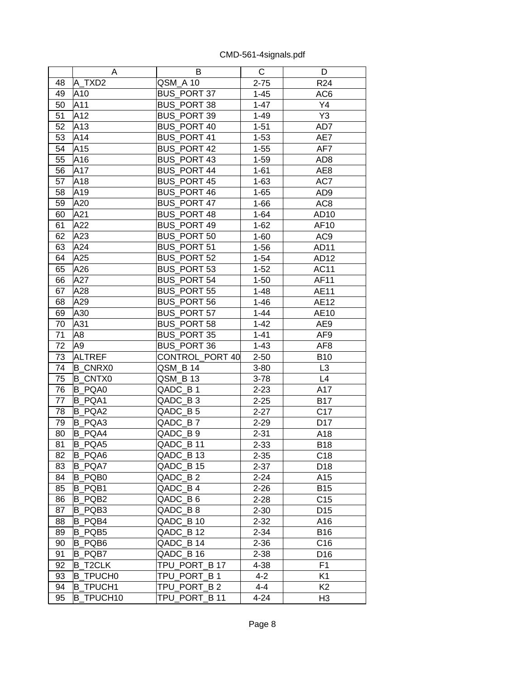|    | A                | B                  | С        | D               |
|----|------------------|--------------------|----------|-----------------|
| 48 | A TXD2           | QSM A 10           | $2 - 75$ | R <sub>24</sub> |
| 49 | A10              | <b>BUS_PORT 37</b> | $1 - 45$ | AC <sub>6</sub> |
| 50 | A11              | BUS_PORT 38        | $1 - 47$ | Y4              |
| 51 | A12              | BUS_PORT 39        | $1 - 49$ | Y3              |
| 52 | A13              | BUS_PORT 40        | $1 - 51$ | AD7             |
| 53 | A14              | <b>BUS PORT 41</b> | $1 - 53$ | AE7             |
| 54 | A15              | <b>BUS PORT 42</b> | $1 - 55$ | AF7             |
| 55 | A16              | <b>BUS PORT 43</b> | $1 - 59$ | AD <sub>8</sub> |
| 56 | A17              | <b>BUS PORT 44</b> | $1 - 61$ | AE8             |
| 57 | A18              | <b>BUS_PORT 45</b> | $1 - 63$ | AC7             |
| 58 | A19              | <b>BUS PORT 46</b> | $1 - 65$ | AD <sub>9</sub> |
| 59 | A20              | BUS_PORT 47        | $1 - 66$ | AC <sub>8</sub> |
| 60 | A21              | BUS_PORT 48        | $1 - 64$ | AD10            |
| 61 | A22              | <b>BUS PORT 49</b> | $1 - 62$ | AF10            |
| 62 | A23              | BUS_PORT 50        | $1 - 60$ | AC <sub>9</sub> |
| 63 | A24              | BUS_PORT 51        | $1 - 56$ | AD11            |
| 64 | A25              | BUS_PORT 52        | $1 - 54$ | AD12            |
| 65 | A26              | BUS PORT 53        | $1 - 52$ | <b>AC11</b>     |
| 66 | A27              | <b>BUS_PORT 54</b> | $1 - 50$ | AF11            |
| 67 | A28              | <b>BUS PORT 55</b> | $1 - 48$ | AE11            |
| 68 | A29              | <b>BUS PORT 56</b> | $1 - 46$ | AE12            |
| 69 | A30              | <b>BUS_PORT 57</b> | $1 - 44$ | AE10            |
| 70 | A31              | <b>BUS PORT 58</b> | $1 - 42$ | AE9             |
| 71 | A <sub>8</sub>   | <b>BUS PORT 35</b> | $1 - 41$ | AF9             |
| 72 | A <sub>9</sub>   | BUS_PORT 36        | $1 - 43$ | AF <sub>8</sub> |
| 73 | <b>ALTREF</b>    | CONTROL_PORT 40    | $2 - 50$ | <b>B10</b>      |
| 74 | <b>B CNRX0</b>   | QSM_B 14           | $3 - 80$ | L3              |
| 75 | <b>B CNTX0</b>   | QSM_B 13           | $3 - 78$ | L4              |
| 76 | B PQA0           | QADC B1            | $2 - 23$ | A17             |
| 77 | <b>B PQA1</b>    | QADC B3            | $2 - 25$ | <b>B17</b>      |
| 78 | B PQA2           | QADC_B 5           | $2 - 27$ | C17             |
| 79 | B PQA3           | QADC_B7            | $2 - 29$ | D17             |
| 80 | <b>B PQA4</b>    | QADC_B 9           | $2 - 31$ | A18             |
| 81 | B PQA5           | QADC B 11          | $2 - 33$ | <b>B18</b>      |
| 82 | B PQA6           | QADC B 13          | $2 - 35$ | C <sub>18</sub> |
| 83 | B_PQA7           | QADC_B 15          | $2 - 37$ | D18             |
| 84 | B_PQB0           | QADC B2            | $2 - 24$ | A15             |
| 85 | B PQB1           | QADC B4            | $2 - 26$ | <b>B15</b>      |
| 86 | B_PQB2           | QADC_B6            | $2 - 28$ | C <sub>15</sub> |
| 87 | B PQB3           | QADC B8            | $2 - 30$ | D <sub>15</sub> |
| 88 | B PQB4           | QADC B 10          | $2 - 32$ | A16             |
| 89 | B PQB5           | QADC_B 12          | $2 - 34$ | <b>B16</b>      |
| 90 | B_PQB6           | QADC B 14          | $2 - 36$ | C16             |
| 91 | B PQB7           | QADC B 16          | $2 - 38$ | D <sub>16</sub> |
| 92 | <b>B T2CLK</b>   | TPU_PORT_B 17      | 4-38     | F <sub>1</sub>  |
| 93 | <b>B_TPUCH0</b>  | TPU PORT B1        | $4 - 2$  | K <sub>1</sub>  |
| 94 | <b>B TPUCH1</b>  | TPU PORT B 2       | $4 - 4$  | K <sub>2</sub>  |
| 95 | <b>B_TPUCH10</b> | TPU_PORT_B 11      | $4 - 24$ | H <sub>3</sub>  |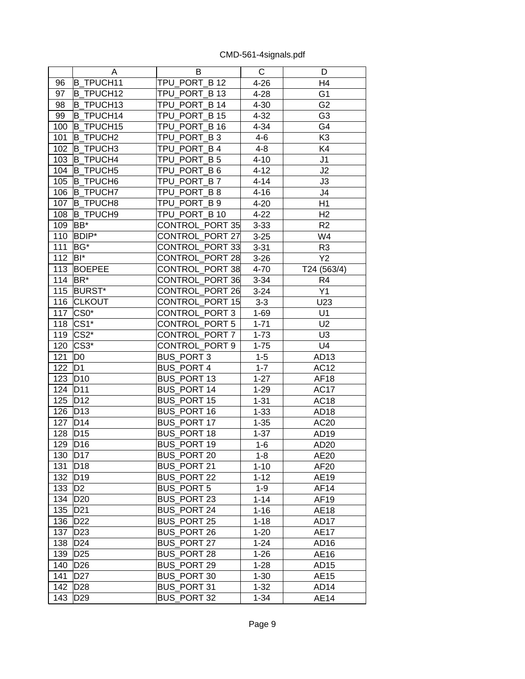|     | Α                 | B                  | С        | D                |
|-----|-------------------|--------------------|----------|------------------|
| 96  | <b>B TPUCH11</b>  | TPU_PORT_B 12      | $4 - 26$ | H4               |
| 97  | <b>B TPUCH12</b>  | TPU PORT B 13      | $4 - 28$ | G <sub>1</sub>   |
| 98  | <b>B_TPUCH13</b>  | TPU_PORT_B 14      | $4 - 30$ | G <sub>2</sub>   |
| 99  | <b>B TPUCH14</b>  | TPU PORT B 15      | $4 - 32$ | G <sub>3</sub>   |
| 100 | <b>B_TPUCH15</b>  | TPU_PORT_B 16      | 4-34     | G4               |
| 101 | <b>B_TPUCH2</b>   | TPU_PORT_B3        | $4 - 6$  | K <sub>3</sub>   |
| 102 | <b>B TPUCH3</b>   | TPU_PORT_B4        | $4 - 8$  | K4               |
| 103 | <b>B TPUCH4</b>   | TPU_PORT_B 5       | $4 - 10$ | J1               |
| 104 | <b>B TPUCH5</b>   | TPU_PORT_B 6       | $4 - 12$ | J2               |
| 105 | <b>B_TPUCH6</b>   | TPU_PORT_B7        | $4 - 14$ | J3               |
| 106 | <b>B TPUCH7</b>   | TPU PORT B8        | $4 - 16$ | J4               |
| 107 | <b>B</b> TPUCH8   | TPU PORT B 9       | $4 - 20$ | H1               |
| 108 | <b>B_TPUCH9</b>   | TPU_PORT_B 10      | $4 - 22$ | H2               |
| 109 | BB*               | CONTROL_PORT 35    | $3 - 33$ | R <sub>2</sub>   |
| 110 | <b>BDIP*</b>      | CONTROL_PORT 27    | $3 - 25$ | W4               |
| 111 | BG*               | CONTROL_PORT 33    | $3 - 31$ | R <sub>3</sub>   |
| 112 | BI*               | CONTROL_PORT 28    | $3 - 26$ | Y2               |
| 113 | <b>BOEPEE</b>     | CONTROL PORT 38    | 4-70     | T24 (563/4)      |
| 114 | BR <sup>*</sup>   | CONTROL_PORT 36    | $3 - 34$ | R <sub>4</sub>   |
| 115 | <b>BURST*</b>     | CONTROL_PORT 26    | $3 - 24$ | Y1               |
| 116 | <b>CLKOUT</b>     | CONTROL PORT 15    | $3-3$    | U23              |
| 117 | CS <sub>0</sub> * | CONTROL PORT 3     | $1 - 69$ | U1               |
| 118 | CS1*              | CONTROL_PORT 5     | $1 - 71$ | U2               |
| 119 | CS <sub>2</sub> * | CONTROL PORT 7     | $1 - 73$ | U <sub>3</sub>   |
| 120 | CS <sub>3</sub> * | CONTROL PORT 9     | $1 - 75$ | U <sub>4</sub>   |
| 121 | D <sub>0</sub>    | <b>BUS_PORT 3</b>  | $1 - 5$  | AD <sub>13</sub> |
| 122 | D <sub>1</sub>    | <b>BUS_PORT 4</b>  | $1 - 7$  | <b>AC12</b>      |
| 123 | D <sub>10</sub>   | BUS_PORT 13        | $1 - 27$ | <b>AF18</b>      |
| 124 | D11               | <b>BUS PORT 14</b> | $1 - 29$ | AC17             |
| 125 | D <sub>12</sub>   | <b>BUS PORT 15</b> | $1 - 31$ | <b>AC18</b>      |
| 126 | D <sub>13</sub>   | <b>BUS PORT 16</b> | $1 - 33$ | AD <sub>18</sub> |
| 127 | D14               | BUS_PORT 17        | $1 - 35$ | AC <sub>20</sub> |
| 128 | D <sub>15</sub>   | BUS_PORT 18        | $1 - 37$ | AD19             |
| 129 | D <sub>16</sub>   | <b>BUS PORT 19</b> | $1 - 6$  | AD20             |
| 130 | D <sub>17</sub>   | BUS_PORT 20        | $1 - 8$  | AE20             |
| 131 | D <sub>18</sub>   | BUS_PORT 21        | $1 - 10$ | AF20             |
| 132 | D <sub>19</sub>   | <b>BUS PORT 22</b> | $1 - 12$ | AE19             |
| 133 | D <sub>2</sub>    | <b>BUS PORT 5</b>  | $1 - 9$  | AF14             |
| 134 | D <sub>20</sub>   | BUS_PORT 23        | $1 - 14$ | AF19             |
| 135 | D <sub>21</sub>   | BUS_PORT 24        | $1 - 16$ | <b>AE18</b>      |
| 136 | D <sub>22</sub>   | <b>BUS PORT 25</b> | $1 - 18$ | AD <sub>17</sub> |
| 137 | D <sub>23</sub>   | BUS_PORT 26        | $1 - 20$ | <b>AE17</b>      |
| 138 | D <sub>24</sub>   | <b>BUS_PORT 27</b> | $1 - 24$ | AD <sub>16</sub> |
| 139 | D <sub>25</sub>   | BUS_PORT 28        | $1 - 26$ | AE16             |
| 140 | D <sub>26</sub>   | BUS_PORT 29        | $1 - 28$ | AD15             |
| 141 | D <sub>27</sub>   | BUS_PORT 30        | $1 - 30$ | <b>AE15</b>      |
| 142 | D <sub>28</sub>   | BUS PORT 31        | $1 - 32$ | AD <sub>14</sub> |
| 143 | D <sub>29</sub>   | BUS_PORT 32        | $1 - 34$ | <b>AE14</b>      |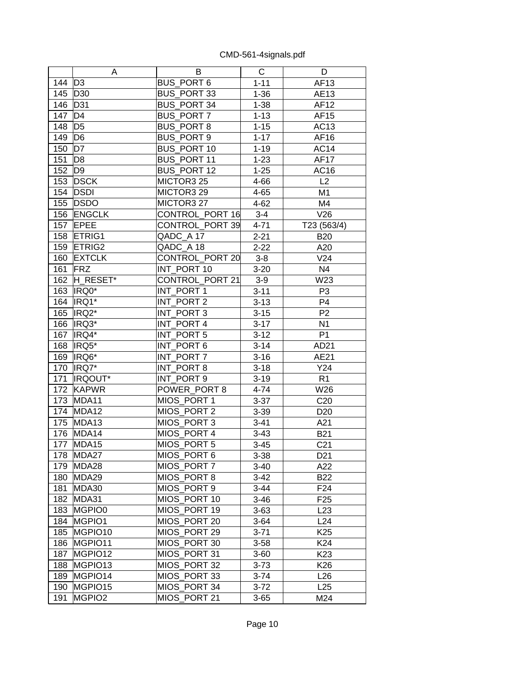|     | A                  | B                  | С        | D               |
|-----|--------------------|--------------------|----------|-----------------|
| 144 | D <sub>3</sub>     | <b>BUS_PORT 6</b>  | $1 - 11$ | AF13            |
| 145 | D30                | BUS_PORT 33        | $1 - 36$ | AE13            |
| 146 | D31                | BUS_PORT 34        | $1 - 38$ | AF12            |
| 147 | D <sub>4</sub>     | BUS_PORT 7         | $1 - 13$ | AF15            |
| 148 | D <sub>5</sub>     | <b>BUS PORT 8</b>  | $1 - 15$ | AC13            |
| 149 | D <sub>6</sub>     | BUS_PORT 9         | $1 - 17$ | AF16            |
| 150 | D7                 | BUS PORT 10        | $1 - 19$ | <b>AC14</b>     |
| 151 | D <sub>8</sub>     | BUS_PORT 11        | $1 - 23$ | <b>AF17</b>     |
| 152 | D <sub>9</sub>     | <b>BUS PORT 12</b> | $1 - 25$ | AC16            |
| 153 | <b>DSCK</b>        | MICTOR3 25         | 4-66     | L2              |
| 154 | <b>DSDI</b>        | MICTOR3 29         | $4 - 65$ | M1              |
| 155 | <b>DSDO</b>        | MICTOR3 27         | $4 - 62$ | M4              |
| 156 | <b>ENGCLK</b>      | CONTROL_PORT 16    | $3 - 4$  | V26             |
| 157 | <b>EPEE</b>        | CONTROL_PORT 39    | 4-71     | T23 (563/4)     |
| 158 | ETRIG1             | QADC A 17          | $2 - 21$ | <b>B20</b>      |
| 159 | <b>ETRIG2</b>      | $QADC_A$ 18        | $2 - 22$ | A20             |
| 160 | <b>EXTCLK</b>      | CONTROL_PORT 20    | $3-8$    | V24             |
| 161 | <b>FRZ</b>         | INT_PORT 10        | $3 - 20$ | N <sub>4</sub>  |
| 162 | H_RESET*           | CONTROL PORT 21    | $3-9$    | W23             |
| 163 | IRQ0*              | INT_PORT 1         | $3 - 11$ | P <sub>3</sub>  |
| 164 | IRQ1*              | INT_PORT 2         | $3 - 13$ | P <sub>4</sub>  |
| 165 | IRQ2*              | INT_PORT 3         | $3 - 15$ | P <sub>2</sub>  |
| 166 | IRQ3*              | INT_PORT 4         | $3 - 17$ | N <sub>1</sub>  |
| 167 | IRQ4*              | INT_PORT 5         | $3 - 12$ | P <sub>1</sub>  |
| 168 | IRQ5*              | INT_PORT 6         | $3 - 14$ | AD21            |
| 169 | IRQ6*              | INT PORT 7         | $3 - 16$ | AE21            |
| 170 | IRQ7*              | INT_PORT 8         | $3 - 18$ | Y24             |
| 171 | <b>IRQOUT*</b>     | INT_PORT 9         | $3 - 19$ | R <sub>1</sub>  |
| 172 | <b>KAPWR</b>       | POWER_PORT 8       | $4 - 74$ | W26             |
| 173 | MDA11              | MIOS PORT 1        | $3 - 37$ | C <sub>20</sub> |
| 174 | MDA12              | MIOS_PORT 2        | $3 - 39$ | D <sub>20</sub> |
| 175 | MDA13              | MIOS_PORT 3        | $3 - 41$ | A21             |
| 176 | MDA14              | MIOS PORT 4        | $3 - 43$ | <b>B21</b>      |
| 177 | MDA15              | MIOS PORT 5        | $3 - 45$ | C <sub>21</sub> |
| 178 | MDA27              | MIOS PORT 6        | $3 - 38$ | D <sub>21</sub> |
| 179 | MDA28              | MIOS PORT 7        | $3 - 40$ | A22             |
| 180 | MDA29              | MIOS_PORT 8        | $3-42$   | <b>B22</b>      |
| 181 | MDA30              | MIOS PORT 9        | $3 - 44$ | F24             |
| 182 | MDA31              | MIOS_PORT 10       | $3 - 46$ | F <sub>25</sub> |
| 183 | MGPIO0             | MIOS_PORT 19       | $3 - 63$ | L23             |
| 184 | MGPIO1             | MIOS PORT 20       | $3 - 64$ | L24             |
| 185 | MGPIO10            | MIOS PORT 29       | $3 - 71$ | K <sub>25</sub> |
| 186 | MGPIO11            | MIOS_PORT 30       | $3 - 58$ | K24             |
| 187 | MGPIO12            | MIOS PORT 31       | $3 - 60$ | K <sub>23</sub> |
| 188 | MGPIO13            | MIOS_PORT 32       | $3 - 73$ | K26             |
| 189 | MGPIO14            | MIOS_PORT 33       | $3 - 74$ | L26             |
| 190 | MGPIO15            | MIOS PORT 34       | $3 - 72$ | L25             |
| 191 | MGPIO <sub>2</sub> | MIOS_PORT 21       | $3 - 65$ | M24             |